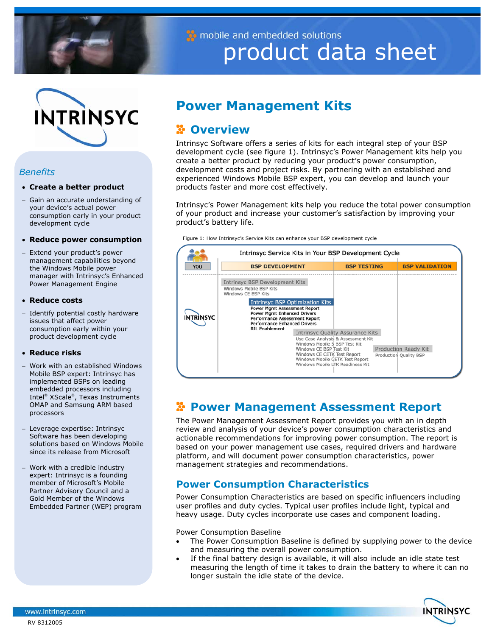

mobile and embedded solutions product data sheet



## *Benefits*

## • **Create a better product**

− Gain an accurate understanding of your device's actual power consumption early in your product development cycle

### • **Reduce power consumption**

− Extend your product's power management capabilities beyond the Windows Mobile power manager with Intrinsyc's Enhanced Power Management Engine

## • **Reduce costs**

Identify potential costly hardware issues that affect power consumption early within your product development cycle

## • **Reduce risks**

- − Work with an established Windows Mobile BSP expert: Intrinsyc has implemented BSPs on leading embedded processors including Intel<sup>®</sup> XScale<sup>®</sup>, Texas Instruments OMAP and Samsung ARM based processors
- − Leverage expertise: Intrinsyc Software has been developing solutions based on Windows Mobile since its release from Microsoft
- − Work with a credible industry expert: Intrinsyc is a founding member of Microsoft's Mobile Partner Advisory Council and a Gold Member of the Windows Embedded Partner (WEP) program

# **Power Management Kits**

## **Overview**

Intrinsyc Software offers a series of kits for each integral step of your BSP development cycle (see figure 1). Intrinsyc's Power Management kits help you create a better product by reducing your product's power consumption, development costs and project risks. By partnering with an established and experienced Windows Mobile BSP expert, you can develop and launch your products faster and more cost effectively.

Intrinsyc's Power Management kits help you reduce the total power consumption of your product and increase your customer's satisfaction by improving your product's battery life.

Figure 1: How Intrinsyc's Service Kits can enhance your BSP development cycle



## **Power Management Assessment Report**

The Power Management Assessment Report provides you with an in depth review and analysis of your device's power consumption characteristics and actionable recommendations for improving power consumption. The report is based on your power management use cases, required drivers and hardware platform, and will document power consumption characteristics, power management strategies and recommendations.

## **Power Consumption Characteristics**

Power Consumption Characteristics are based on specific influencers including user profiles and duty cycles. Typical user profiles include light, typical and heavy usage. Duty cycles incorporate use cases and component loading.

Power Consumption Baseline

- The Power Consumption Baseline is defined by supplying power to the device and measuring the overall power consumption.
- If the final battery design is available, it will also include an idle state test measuring the length of time it takes to drain the battery to where it can no longer sustain the idle state of the device.